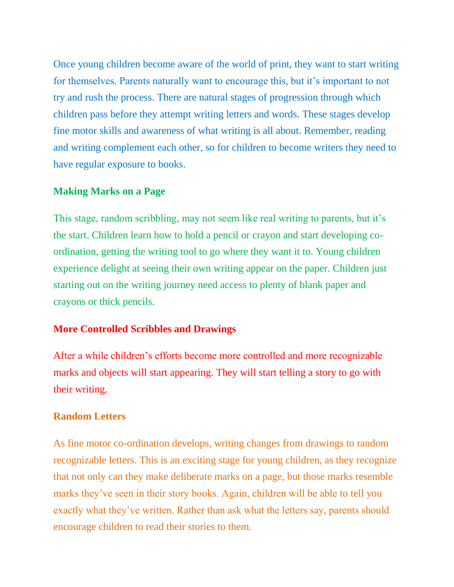Once young children become aware of the world of print, they want to start writing for themselves. Parents naturally want to encourage this, but it's important to not try and rush the process. There are natural stages of progression through which children pass before they attempt writing letters and words. These stages develop fine motor skills and awareness of what writing is all about. Remember, reading and writing complement each other, so for children to become writers they need to have regular exposure to books.

### **Making Marks on a Page**

This stage, random scribbling, may not seem like real writing to parents, but it's the start. Children learn how to hold a pencil or crayon and start developing coordination, getting the writing tool to go where they want it to. Young children experience delight at seeing their own writing appear on the paper. Children just starting out on the writing journey need access to plenty of blank paper and crayons or thick pencils.

# **More Controlled Scribbles and Drawings**

After a while children's efforts become more controlled and more recognizable marks and objects will start appearing. They will start telling a story to go with their writing.

# **Random Letters**

As fine motor co-ordination develops, writing changes from drawings to random recognizable letters. This is an exciting stage for young children, as they recognize that not only can they make deliberate marks on a page, but those marks resemble marks they've seen in their story books. Again, children will be able to tell you exactly what they've written. Rather than ask what the letters say, parents should encourage children to read their stories to them.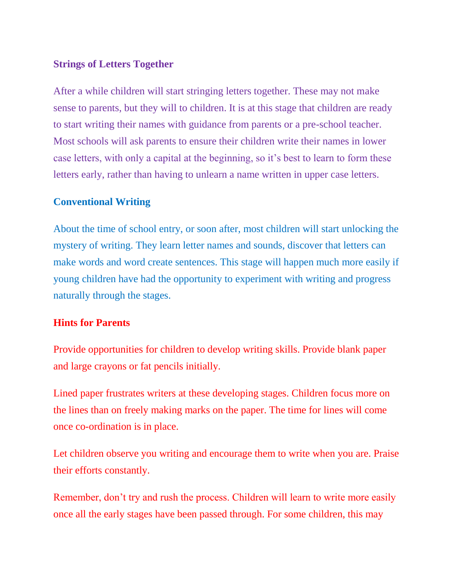### **Strings of Letters Together**

After a while children will start stringing letters together. These may not make sense to parents, but they will to children. It is at this stage that children are ready to start writing their names with guidance from parents or a pre-school teacher. Most schools will ask parents to ensure their children write their names in lower case letters, with only a capital at the beginning, so it's best to learn to form these letters early, rather than having to unlearn a name written in upper case letters.

#### **Conventional Writing**

About the time of school entry, or soon after, most children will start unlocking the mystery of writing. They learn letter names and sounds, discover that letters can make words and word create sentences. This stage will happen much more easily if young children have had the opportunity to experiment with writing and progress naturally through the stages.

#### **Hints for Parents**

Provide opportunities for children to develop writing skills. Provide blank paper and large crayons or fat pencils initially.

Lined paper frustrates writers at these developing stages. Children focus more on the lines than on freely making marks on the paper. The time for lines will come once co-ordination is in place.

Let children observe you writing and encourage them to write when you are. Praise their efforts constantly.

Remember, don't try and rush the process. Children will learn to write more easily once all the early stages have been passed through. For some children, this may